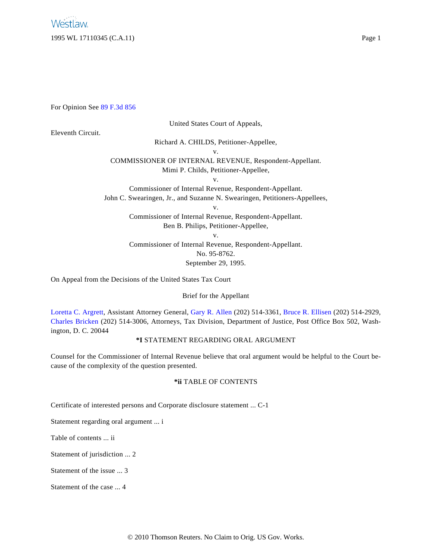For Opinion See [89 F.3d 856](http://www.westlaw.com/Find/Default.wl?rs=dfa1.0&vr=2.0&FindType=Y&SerialNum=1996142192)

United States Court of Appeals,

# Eleventh Circuit.

Richard A. CHILDS, Petitioner-Appellee,

v.

COMMISSIONER OF INTERNAL REVENUE, Respondent-Appellant. Mimi P. Childs, Petitioner-Appellee,

v.

Commissioner of Internal Revenue, Respondent-Appellant.

John C. Swearingen, Jr., and Suzanne N. Swearingen, Petitioners-Appellees, v.

> Commissioner of Internal Revenue, Respondent-Appellant. Ben B. Philips, Petitioner-Appellee,

v.

Commissioner of Internal Revenue, Respondent-Appellant. No. 95-8762.

September 29, 1995.

On Appeal from the Decisions of the United States Tax Court

Brief for the Appellant

[Loretta C. Argrett](http://www.westlaw.com/Find/Default.wl?rs=dfa1.0&vr=2.0&DB=PROFILER-WLD&DocName=0128206201&FindType=h), Assistant Attorney General, [Gary R. Allen](http://www.westlaw.com/Find/Default.wl?rs=dfa1.0&vr=2.0&DB=PROFILER-WLD&DocName=0198251301&FindType=h) (202) 514-3361, [Bruce R. Ellisen](http://www.westlaw.com/Find/Default.wl?rs=dfa1.0&vr=2.0&DB=PROFILER-WLD&DocName=0282700501&FindType=h) (202) 514-2929, [Charles Bricken](http://www.westlaw.com/Find/Default.wl?rs=dfa1.0&vr=2.0&DB=PROFILER-WLD&DocName=0112146601&FindType=h) (202) 514-3006, Attorneys, Tax Division, Department of Justice, Post Office Box 502, Washington, D. C. 20044

## **\*I** STATEMENT REGARDING ORAL ARGUMENT

Counsel for the Commissioner of Internal Revenue believe that oral argument would be helpful to the Court because of the complexity of the question presented.

## **\*ii** TABLE OF CONTENTS

Certificate of interested persons and Corporate disclosure statement ... C-1

Statement regarding oral argument ... i

Table of contents ... ii

Statement of jurisdiction ... 2

Statement of the issue ... 3

Statement of the case ... 4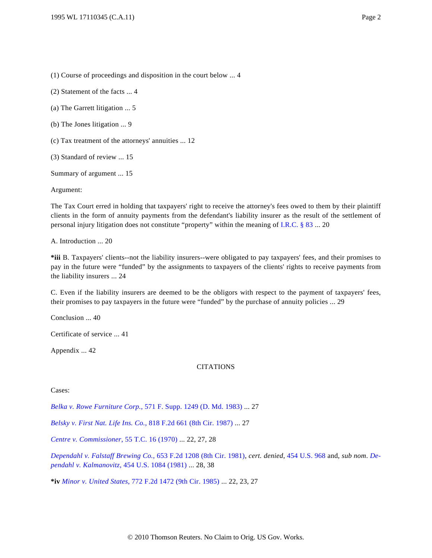(1) Course of proceedings and disposition in the court below ... 4

(2) Statement of the facts ... 4

(a) The Garrett litigation ... 5

(b) The Jones litigation ... 9

(c) Tax treatment of the attorneys' annuities ... 12

(3) Standard of review ... 15

Summary of argument ... 15

Argument:

The Tax Court erred in holding that taxpayers' right to receive the attorney's fees owed to them by their plaintiff clients in the form of annuity payments from the defendant's liability insurer as the result of the settlement of personal injury litigation does not constitute "property" within the meaning of [I.R.C. § 83](http://www.westlaw.com/Find/Default.wl?rs=dfa1.0&vr=2.0&DB=1000546&DocName=26USCAS83&FindType=L) ... 20

A. Introduction ... 20

**\*iii** B. Taxpayers' clients--not the liability insurers--were obligated to pay taxpayers' fees, and their promises to pay in the future were "funded" by the assignments to taxpayers of the clients' rights to receive payments from the liability insurers ... 24

C. Even if the liability insurers are deemed to be the obligors with respect to the payment of taxpayers' fees, their promises to pay taxpayers in the future were "funded" by the purchase of annuity policies ... 29

Conclusion ... 40

Certificate of service ... 41

Appendix ... 42

#### **CITATIONS**

Cases:

*[Belka v. Rowe Furniture Corp](http://www.westlaw.com/Find/Default.wl?rs=dfa1.0&vr=2.0&DB=345&FindType=Y&SerialNum=1983146157).*[, 571 F. Supp. 1249 \(D. Md. 1983\)](http://www.westlaw.com/Find/Default.wl?rs=dfa1.0&vr=2.0&DB=345&FindType=Y&SerialNum=1983146157) ... 27

*[Belsky v. First Nat. Life Ins. Co](http://www.westlaw.com/Find/Default.wl?rs=dfa1.0&vr=2.0&DB=350&FindType=Y&SerialNum=1987060295).*[, 818 F.2d 661 \(8th Cir. 1987\)](http://www.westlaw.com/Find/Default.wl?rs=dfa1.0&vr=2.0&DB=350&FindType=Y&SerialNum=1987060295) ... 27

*[Centre v. Commissioner](http://www.westlaw.com/Find/Default.wl?rs=dfa1.0&vr=2.0&DB=838&FindType=Y&SerialNum=1971290034)*[, 55 T.C. 16 \(1970\)](http://www.westlaw.com/Find/Default.wl?rs=dfa1.0&vr=2.0&DB=838&FindType=Y&SerialNum=1971290034) ... 22, 27, 28

*[Dependahl v. Falstaff Brewing Co](http://www.westlaw.com/Find/Default.wl?rs=dfa1.0&vr=2.0&DB=350&FindType=Y&SerialNum=1981127994).*[, 653 F.2d 1208 \(8th Cir. 1981\)](http://www.westlaw.com/Find/Default.wl?rs=dfa1.0&vr=2.0&DB=350&FindType=Y&SerialNum=1981127994), *cert. denied*, [454 U.S. 968](http://www.westlaw.com/Find/Default.wl?rs=dfa1.0&vr=2.0&DB=780&FindType=Y&SerialNum=1981243338) and, *sub nom*. *[De](http://www.westlaw.com/Find/Default.wl?rs=dfa1.0&vr=2.0&DB=780&FindType=Y&SerialNum=1981244001)[pendahl v. Kalmanovitz](http://www.westlaw.com/Find/Default.wl?rs=dfa1.0&vr=2.0&DB=780&FindType=Y&SerialNum=1981244001)*[, 454 U.S. 1084 \(1981\)](http://www.westlaw.com/Find/Default.wl?rs=dfa1.0&vr=2.0&DB=780&FindType=Y&SerialNum=1981244001) ... 28, 38

**\*iv** *[Minor v. United States](http://www.westlaw.com/Find/Default.wl?rs=dfa1.0&vr=2.0&DB=350&FindType=Y&SerialNum=1985148622)*[, 772 F.2d 1472 \(9th Cir. 1985\)](http://www.westlaw.com/Find/Default.wl?rs=dfa1.0&vr=2.0&DB=350&FindType=Y&SerialNum=1985148622) ... 22, 23, 27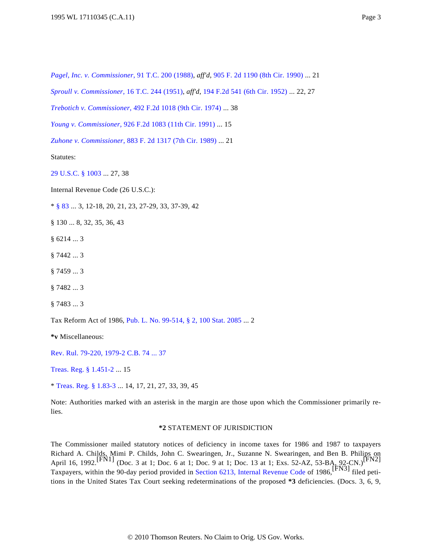*[Pagel, Inc. v. Commissioner](http://www.westlaw.com/Find/Default.wl?rs=dfa1.0&vr=2.0&DB=838&FindType=Y&SerialNum=1988102296)*[, 91 T.C. 200 \(1988\)](http://www.westlaw.com/Find/Default.wl?rs=dfa1.0&vr=2.0&DB=838&FindType=Y&SerialNum=1988102296), *aff'd*, [905 F. 2d 1190 \(8th Cir. 1990\)](http://www.westlaw.com/Find/Default.wl?rs=dfa1.0&vr=2.0&DB=350&FindType=Y&SerialNum=1990094348) ... 21

*[Sproull v. Commissioner](http://www.westlaw.com/Find/Default.wl?rs=dfa1.0&vr=2.0&DB=838&FindType=Y&SerialNum=1951287377)*[, 16 T.C. 244 \(1951\)](http://www.westlaw.com/Find/Default.wl?rs=dfa1.0&vr=2.0&DB=838&FindType=Y&SerialNum=1951287377), *aff'd*, [194 F.2d 541 \(6th Cir. 1952\)](http://www.westlaw.com/Find/Default.wl?rs=dfa1.0&vr=2.0&DB=350&FindType=Y&SerialNum=1952200085) ... 22, 27

*[Trebotich v. Commissioner](http://www.westlaw.com/Find/Default.wl?rs=dfa1.0&vr=2.0&DB=350&FindType=Y&SerialNum=1974109467)*[, 492 F.2d 1018 \(9th Cir. 1974\)](http://www.westlaw.com/Find/Default.wl?rs=dfa1.0&vr=2.0&DB=350&FindType=Y&SerialNum=1974109467) ... 38

*[Young v. Commissioner](http://www.westlaw.com/Find/Default.wl?rs=dfa1.0&vr=2.0&DB=350&FindType=Y&SerialNum=1991046720)*[, 926 F.2d 1083 \(11th Cir. 1991\)](http://www.westlaw.com/Find/Default.wl?rs=dfa1.0&vr=2.0&DB=350&FindType=Y&SerialNum=1991046720) ... 15

*[Zuhone v. Commissioner](http://www.westlaw.com/Find/Default.wl?rs=dfa1.0&vr=2.0&DB=350&FindType=Y&SerialNum=1989126456)*[, 883 F. 2d 1317 \(7th Cir. 1989\)](http://www.westlaw.com/Find/Default.wl?rs=dfa1.0&vr=2.0&DB=350&FindType=Y&SerialNum=1989126456) ... 21

Statutes:

[29 U.S.C. § 1003](http://www.westlaw.com/Find/Default.wl?rs=dfa1.0&vr=2.0&DB=1000546&DocName=29USCAS1003&FindType=L) ... 27, 38

Internal Revenue Code (26 U.S.C.):

\* [§ 83](http://www.westlaw.com/Find/Default.wl?rs=dfa1.0&vr=2.0&DB=1000546&DocName=26USCAS83&FindType=L) ... 3, 12-18, 20, 21, 23, 27-29, 33, 37-39, 42

§ 130 ... 8, 32, 35, 36, 43

- § 6214 ... 3
- § 7442 ... 3
- § 7459 ... 3
- § 7482 ... 3
- § 7483 ... 3

Tax Reform Act of 1986, [Pub. L. No. 99-514, § 2, 100 Stat. 2085](http://www.westlaw.com/Find/Default.wl?rs=dfa1.0&vr=2.0&DB=1077005&DocName=UU%28I4B69EEE9A1-E642ECA21E4-01F8D0A45CF%29&FindType=l) ... 2

**\*v** Miscellaneous:

[Rev. Rul. 79-220, 1979-2 C.B. 74 ... 37](http://www.westlaw.com/Find/Default.wl?rs=dfa1.0&vr=2.0&DB=1048&FindType=Y&SerialNum=1979020295)

[Treas. Reg. § 1.451-2](http://www.westlaw.com/Find/Default.wl?rs=dfa1.0&vr=2.0&DB=1016188&DocName=26CFRS1.451-2&FindType=L) ... 15

\* [Treas. Reg. § 1.83-3](http://www.westlaw.com/Find/Default.wl?rs=dfa1.0&vr=2.0&DB=1016188&DocName=26CFRS1.83-3&FindType=L) ... 14, 17, 21, 27, 33, 39, 45

Note: Authorities marked with an asterisk in the margin are those upon which the Commissioner primarily relies.

#### **\*2** STATEMENT OF JURISDICTION

The Commissioner mailed statutory notices of deficiency in income taxes for 1986 and 1987 to taxpayers Richard A. Childs, Mimi P. Childs, John C. Swearingen, Jr., Suzanne N. Swearingen, and Ben B. Philips on<br>April 16, 1992.<sup>[FN1]</sup> (Doc. 3 at 1; Doc. 6 at 1; Doc. 9 at 1; Doc. 13 at 1; Exs. 52-AZ, 53-BA, 92-CN.)<sup>[FN2]</sup> Taxpayers, within the 90-day period provided in [Section 6213, Internal Revenue Code](http://www.westlaw.com/Find/Default.wl?rs=dfa1.0&vr=2.0&DB=1012823&DocName=26USCAS6213&FindType=L) of 1986,[FN3] filed petitions in the United States Tax Court seeking redeterminations of the proposed **\*3** deficiencies. (Docs. 3, 6, 9,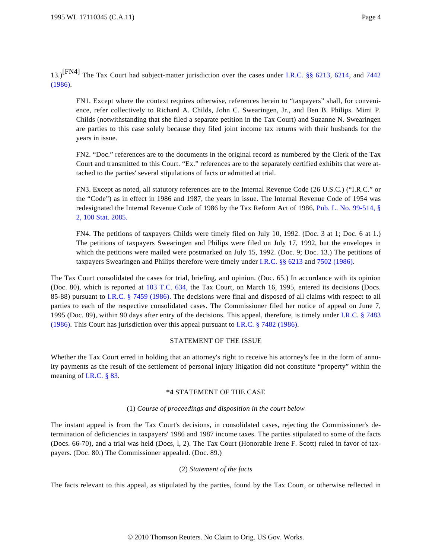13.)[FN4] The Tax Court had subject-matter jurisdiction over the cases under [I.R.C. §§ 6213](http://www.westlaw.com/Find/Default.wl?rs=dfa1.0&vr=2.0&DB=1012823&DocName=26USCAS6213&FindType=L), [6214](http://www.westlaw.com/Find/Default.wl?rs=dfa1.0&vr=2.0&DB=1012823&DocName=26USCAS6214&FindType=L), and [7442](http://www.westlaw.com/Find/Default.wl?rs=dfa1.0&vr=2.0&DB=1012823&DocName=26USCAS7442&FindType=L) [\(1986\).](http://www.westlaw.com/Find/Default.wl?rs=dfa1.0&vr=2.0&DB=1012823&DocName=26USCAS7442&FindType=L)

FN1. Except where the context requires otherwise, references herein to "taxpayers" shall, for convenience, refer collectively to Richard A. Childs, John C. Swearingen, Jr., and Ben B. Philips. Mimi P. Childs (notwithstanding that she filed a separate petition in the Tax Court) and Suzanne N. Swearingen are parties to this case solely because they filed joint income tax returns with their husbands for the years in issue.

FN2. "Doc." references are to the documents in the original record as numbered by the Clerk of the Tax Court and transmitted to this Court. "Ex." references are to the separately certified exhibits that were attached to the parties' several stipulations of facts or admitted at trial.

FN3. Except as noted, all statutory references are to the Internal Revenue Code (26 U.S.C.) ("I.R.C." or the "Code") as in effect in 1986 and 1987, the years in issue. The Internal Revenue Code of 1954 was redesignated the Internal Revenue Code of 1986 by the Tax Reform Act of 1986, [Pub. L. No. 99-514, §](http://www.westlaw.com/Find/Default.wl?rs=dfa1.0&vr=2.0&DB=1077005&DocName=UU%28I4B69EEE9A1-E642ECA21E4-01F8D0A45CF%29&FindType=l) [2, 100 Stat. 2085](http://www.westlaw.com/Find/Default.wl?rs=dfa1.0&vr=2.0&DB=1077005&DocName=UU%28I4B69EEE9A1-E642ECA21E4-01F8D0A45CF%29&FindType=l).

FN4. The petitions of taxpayers Childs were timely filed on July 10, 1992. (Doc. 3 at 1; Doc. 6 at 1.) The petitions of taxpayers Swearingen and Philips were filed on July 17, 1992, but the envelopes in which the petitions were mailed were postmarked on July 15, 1992. (Doc. 9; Doc. 13.) The petitions of taxpayers Swearingen and Philips therefore were timely under [I.R.C. §§ 6213](http://www.westlaw.com/Find/Default.wl?rs=dfa1.0&vr=2.0&DB=1012823&DocName=26USCAS6213&FindType=L) and [7502 \(1986\)](http://www.westlaw.com/Find/Default.wl?rs=dfa1.0&vr=2.0&DB=1012823&DocName=26USCAS7502&FindType=L).

The Tax Court consolidated the cases for trial, briefing, and opinion. (Doc. 65.) In accordance with its opinion (Doc. 80), which is reported at [103 T.C. 634](http://www.westlaw.com/Find/Default.wl?rs=dfa1.0&vr=2.0&FindType=Y&SerialNum=1995020220), the Tax Court, on March 16, 1995, entered its decisions (Docs. 85-88) pursuant to [I.R.C. § 7459 \(1986](http://www.westlaw.com/Find/Default.wl?rs=dfa1.0&vr=2.0&DB=1012823&DocName=26USCAS7459&FindType=L)). The decisions were final and disposed of all claims with respect to all parties to each of the respective consolidated cases. The Commissioner filed her notice of appeal on June 7, 1995 (Doc. 89), within 90 days after entry of the decisions. This appeal, therefore, is timely under [I.R.C. § 7483](http://www.westlaw.com/Find/Default.wl?rs=dfa1.0&vr=2.0&DB=1012823&DocName=26USCAS7483&FindType=L) [\(1986\).](http://www.westlaw.com/Find/Default.wl?rs=dfa1.0&vr=2.0&DB=1012823&DocName=26USCAS7483&FindType=L) This Court has jurisdiction over this appeal pursuant to [I.R.C. § 7482 \(1986\)](http://www.westlaw.com/Find/Default.wl?rs=dfa1.0&vr=2.0&DB=1012823&DocName=26USCAS7482&FindType=L).

### STATEMENT OF THE ISSUE

Whether the Tax Court erred in holding that an attorney's right to receive his attorney's fee in the form of annuity payments as the result of the settlement of personal injury litigation did not constitute "property" within the meaning of [I.R.C. § 83](http://www.westlaw.com/Find/Default.wl?rs=dfa1.0&vr=2.0&DB=1012823&DocName=26USCAS83&FindType=L).

## **\*4** STATEMENT OF THE CASE

## (1) *Course of proceedings and disposition in the court below*

The instant appeal is from the Tax Court's decisions, in consolidated cases, rejecting the Commissioner's determination of deficiencies in taxpayers' 1986 and 1987 income taxes. The parties stipulated to some of the facts (Docs. 66-70), and a trial was held (Docs, l, 2). The Tax Court (Honorable Irene F. Scott) ruled in favor of taxpayers. (Doc. 80.) The Commissioner appealed. (Doc. 89.)

### (2) *Statement of the facts*

The facts relevant to this appeal, as stipulated by the parties, found by the Tax Court, or otherwise reflected in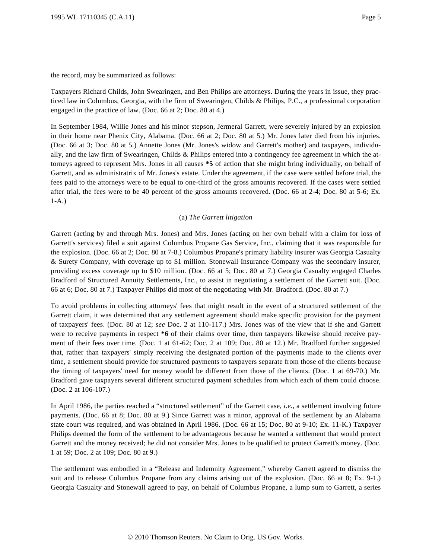the record, may be summarized as follows:

Taxpayers Richard Childs, John Swearingen, and Ben Philips are attorneys. During the years in issue, they practiced law in Columbus, Georgia, with the firm of Swearingen, Childs & Philips, P.C., a professional corporation engaged in the practice of law. (Doc. 66 at 2; Doc. 80 at 4.)

In September 1984, Willie Jones and his minor stepson, Jermeral Garrett, were severely injured by an explosion in their home near Phenix City, Alabama. (Doc. 66 at 2; Doc. 80 at 5.) Mr. Jones later died from his injuries. (Doc. 66 at 3; Doc. 80 at 5.) Annette Jones (Mr. Jones's widow and Garrett's mother) and taxpayers, individually, and the law firm of Swearingen, Childs & Philips entered into a contingency fee agreement in which the attorneys agreed to represent Mrs. Jones in all causes **\*5** of action that she might bring individually, on behalf of Garrett, and as administratrix of Mr. Jones's estate. Under the agreement, if the case were settled before trial, the fees paid to the attorneys were to be equal to one-third of the gross amounts recovered. If the cases were settled after trial, the fees were to be 40 percent of the gross amounts recovered. (Doc. 66 at 2-4; Doc. 80 at 5-6; Ex. 1-A.)

## (a) *The Garrett litigation*

Garrett (acting by and through Mrs. Jones) and Mrs. Jones (acting on her own behalf with a claim for loss of Garrett's services) filed a suit against Columbus Propane Gas Service, Inc., claiming that it was responsible for the explosion. (Doc. 66 at 2; Doc. 80 at 7-8.) Columbus Propane's primary liability insurer was Georgia Casualty & Surety Company, with coverage up to \$1 million. Stonewall Insurance Company was the secondary insurer, providing excess coverage up to \$10 million. (Doc. 66 at 5; Doc. 80 at 7.) Georgia Casualty engaged Charles Bradford of Structured Annuity Settlements, Inc., to assist in negotiating a settlement of the Garrett suit. (Doc. 66 at 6; Doc. 80 at 7.) Taxpayer Philips did most of the negotiating with Mr. Bradford. (Doc. 80 at 7.)

To avoid problems in collecting attorneys' fees that might result in the event of a structured settlement of the Garrett claim, it was determined that any settlement agreement should make specific provision for the payment of taxpayers' fees. (Doc. 80 at 12; *see* Doc. 2 at 110-117.) Mrs. Jones was of the view that if she and Garrett were to receive payments in respect  $*6$  of their claims over time, then taxpayers likewise should receive payment of their fees over time. (Doc. 1 at 61-62; Doc. 2 at 109; Doc. 80 at 12.) Mr. Bradford further suggested that, rather than taxpayers' simply receiving the designated portion of the payments made to the clients over time, a settlement should provide for structured payments to taxpayers separate from those of the clients because the timing of taxpayers' need for money would be different from those of the clients. (Doc. 1 at 69-70.) Mr. Bradford gave taxpayers several different structured payment schedules from which each of them could choose. (Doc. 2 at 106-107.)

In April 1986, the parties reached a "structured settlement" of the Garrett case, *i.e.*, a settlement involving future payments. (Doc. 66 at 8; Doc. 80 at 9.) Since Garrett was a minor, approval of the settlement by an Alabama state court was required, and was obtained in April 1986. (Doc. 66 at 15; Doc. 80 at 9-10; Ex. 11-K.) Taxpayer Philips deemed the form of the settlement to be advantageous because he wanted a settlement that would protect Garrett and the money received; he did not consider Mrs. Jones to be qualified to protect Garrett's money. (Doc. 1 at 59; Doc. 2 at 109; Doc. 80 at 9.)

The settlement was embodied in a "Release and Indemnity Agreement," whereby Garrett agreed to dismiss the suit and to release Columbus Propane from any claims arising out of the explosion. (Doc. 66 at 8; Ex. 9-1.) Georgia Casualty and Stonewall agreed to pay, on behalf of Columbus Propane, a lump sum to Garrett, a series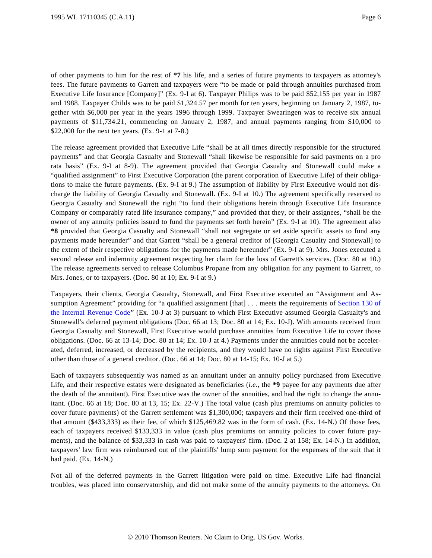of other payments to him for the rest of **\*7** his life, and a series of future payments to taxpayers as attorney's fees. The future payments to Garrett and taxpayers were "to be made or paid through annuities purchased from Executive Life Insurance [Company]" (Ex. 9-I at 6). Taxpayer Philips was to be paid \$52,155 per year in 1987 and 1988. Taxpayer Childs was to be paid \$1,324.57 per month for ten years, beginning on January 2, 1987, together with \$6,000 per year in the years 1996 through 1999. Taxpayer Swearingen was to receive six annual payments of \$11,734.21, commencing on January 2, 1987, and annual payments ranging from \$10,000 to \$22,000 for the next ten years. (Ex. 9-1 at 7-8.)

The release agreement provided that Executive Life "shall be at all times directly responsible for the structured payments" and that Georgia Casualty and Stonewall "shall likewise be responsible for said payments on a pro rata basis" (Ex. 9-I at 8-9). The agreement provided that Georgia Casualty and Stonewall could make a "qualified assignment" to First Executive Corporation (the parent corporation of Executive Life) of their obligations to make the future payments. (Ex. 9-I at 9.) The assumption of liability by First Executive would not discharge the liability of Georgia Casualty and Stonewall. (Ex. 9-I at 10.) The agreement specifically reserved to Georgia Casualty and Stonewall the right "to fund their obligations herein through Executive Life Insurance Company or comparably rated life insurance company," and provided that they, or their assignees, "shall be the owner of any annuity policies issued to fund the payments set forth herein" (Ex. 9-I at 10). The agreement also **\*8** provided that Georgia Casualty and Stonewall "shall not segregate or set aside specific assets to fund any payments made hereunder" and that Garrett "shall be a general creditor of [Georgia Casualty and Stonewall] to the extent of their respective obligations for the payments made hereunder" (Ex. 9-I at 9). Mrs. Jones executed a second release and indemnity agreement respecting her claim for the loss of Garrett's services. (Doc. 80 at 10.) The release agreements served to release Columbus Propane from any obligation for any payment to Garrett, to Mrs. Jones, or to taxpayers. (Doc. 80 at 10; Ex. 9-I at 9.)

Taxpayers, their clients, Georgia Casualty, Stonewall, and First Executive executed an "Assignment and As-sumption Agreement" providing for "a qualified assignment [that] . . . meets the requirements of [Section 130 of](http://www.westlaw.com/Find/Default.wl?rs=dfa1.0&vr=2.0&DB=1012823&DocName=26USCAS130&FindType=L) [the Internal Revenue Cod](http://www.westlaw.com/Find/Default.wl?rs=dfa1.0&vr=2.0&DB=1012823&DocName=26USCAS130&FindType=L)e" (Ex. 10-J at 3) pursuant to which First Executive assumed Georgia Casualty's and Stonewall's deferred payment obligations (Doc. 66 at 13; Doc. 80 at 14; Ex. 10-J). With amounts received from Georgia Casualty and Stonewall, First Executive would purchase annuities from Executive Life to cover those obligations. (Doc. 66 at 13-14; Doc. 80 at 14; Ex. 10-J at 4.) Payments under the annuities could not be accelerated, deferred, increased, or decreased by the recipients, and they would have no rights against First Executive other than those of a general creditor. (Doc. 66 at 14; Doc. 80 at 14-15; Ex. 10-J at 5.)

Each of taxpayers subsequently was named as an annuitant under an annuity policy purchased from Executive Life, and their respective estates were designated as beneficiaries (*i.e.*, the **\*9** payee for any payments due after the death of the annuitant). First Executive was the owner of the annuities, and had the right to change the annuitant. (Doc. 66 at 18; Doc. 80 at 13, 15; Ex. 22-V.) The total value (cash plus premiums on annuity policies to cover future payments) of the Garrett settlement was \$1,300,000; taxpayers and their firm received one-third of that amount (\$433,333) as their fee, of which \$125,469.82 was in the form of cash. (Ex. 14-N.) Of those fees, each of taxpayers received \$133,333 in value (cash plus premiums on annuity policies to cover future payments), and the balance of \$33,333 in cash was paid to taxpayers' firm. (Doc. 2 at 158; Ex. 14-N.) In addition, taxpayers' law firm was reimbursed out of the plaintiffs' lump sum payment for the expenses of the suit that it had paid. (Ex. 14-N.)

Not all of the deferred payments in the Garrett litigation were paid on time. Executive Life had financial troubles, was placed into conservatorship, and did not make some of the annuity payments to the attorneys. On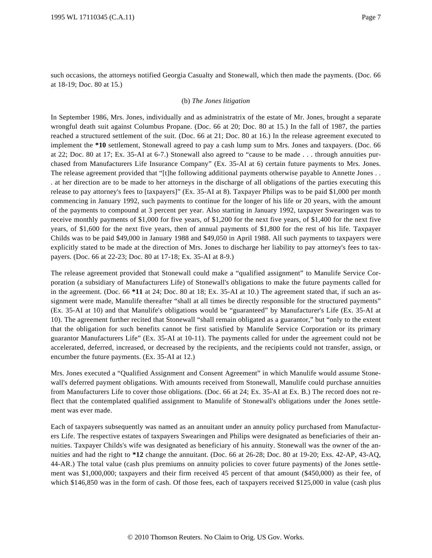such occasions, the attorneys notified Georgia Casualty and Stonewall, which then made the payments. (Doc. 66 at 18-19; Doc. 80 at 15.)

#### (b) *The Jones litigation*

In September 1986, Mrs. Jones, individually and as administratrix of the estate of Mr. Jones, brought a separate wrongful death suit against Columbus Propane. (Doc. 66 at 20; Doc. 80 at 15.) In the fall of 1987, the parties reached a structured settlement of the suit. (Doc. 66 at 21; Doc. 80 at 16.) In the release agreement executed to implement the **\*10** settlement, Stonewall agreed to pay a cash lump sum to Mrs. Jones and taxpayers. (Doc. 66 at 22; Doc. 80 at 17; Ex. 35-AI at 6-7.) Stonewall also agreed to "cause to be made . . . through annuities purchased from Manufacturers Life Insurance Company" (Ex. 35-AI at 6) certain future payments to Mrs. Jones. The release agreement provided that "[t]he following additional payments otherwise payable to Annette Jones . . . at her direction are to be made to her attorneys in the discharge of all obligations of the parties executing this release to pay attorney's fees to [taxpayers]" (Ex. 35-AI at 8). Taxpayer Philips was to be paid \$1,000 per month commencing in January 1992, such payments to continue for the longer of his life or 20 years, with the amount of the payments to compound at 3 percent per year. Also starting in January 1992, taxpayer Swearingen was to receive monthly payments of \$1,000 for five years, of \$1,200 for the next five years, of \$1,400 for the next five years, of \$1,600 for the next five years, then of annual payments of \$1,800 for the rest of his life. Taxpayer Childs was to be paid \$49,000 in January 1988 and \$49,050 in April 1988. All such payments to taxpayers were explicitly stated to be made at the direction of Mrs. Jones to discharge her liability to pay attorney's fees to taxpayers. (Doc. 66 at 22-23; Doc. 80 at 17-18; Ex. 35-AI at 8-9.)

The release agreement provided that Stonewall could make a "qualified assignment" to Manulife Service Corporation (a subsidiary of Manufacturers Life) of Stonewall's obligations to make the future payments called for in the agreement. (Doc. 66 **\*11** at 24; Doc. 80 at 18; Ex. 35-AI at 10.) The agreement stated that, if such an assignment were made, Manulife thereafter "shall at all times be directly responsible for the structured payments" (Ex. 35-AI at 10) and that Manulife's obligations would be "guaranteed" by Manufacturer's Life (Ex. 35-AI at 10). The agreement further recited that Stonewall "shall remain obligated as a guarantor," but "only to the extent that the obligation for such benefits cannot be first satisfied by Manulife Service Corporation or its primary guarantor Manufacturers Life" (Ex. 35-AI at 10-11). The payments called for under the agreement could not be accelerated, deferred, increased, or decreased by the recipients, and the recipients could not transfer, assign, or encumber the future payments. (Ex. 35-AI at 12.)

Mrs. Jones executed a "Qualified Assignment and Consent Agreement" in which Manulife would assume Stonewall's deferred payment obligations. With amounts received from Stonewall, Manulife could purchase annuities from Manufacturers Life to cover those obligations. (Doc. 66 at 24; Ex. 35-AI at Ex. B.) The record does not reflect that the contemplated qualified assignment to Manulife of Stonewall's obligations under the Jones settlement was ever made.

Each of taxpayers subsequently was named as an annuitant under an annuity policy purchased from Manufacturers Life. The respective estates of taxpayers Swearingen and Philips were designated as beneficiaries of their annuities. Taxpayer Childs's wife was designated as beneficiary of his annuity. Stonewall was the owner of the annuities and had the right to **\*12** change the annuitant. (Doc. 66 at 26-28; Doc. 80 at 19-20; Exs. 42-AP, 43-AQ, 44-AR.) The total value (cash plus premiums on annuity policies to cover future payments) of the Jones settlement was \$1,000,000; taxpayers and their firm received 45 percent of that amount (\$450,000) as their fee, of which \$146,850 was in the form of cash. Of those fees, each of taxpayers received \$125,000 in value (cash plus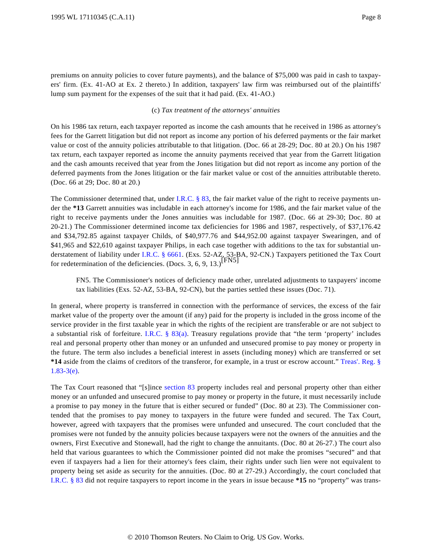premiums on annuity policies to cover future payments), and the balance of \$75,000 was paid in cash to taxpayers' firm. (Ex. 41-AO at Ex. 2 thereto.) In addition, taxpayers' law firm was reimbursed out of the plaintiffs' lump sum payment for the expenses of the suit that it had paid. (Ex. 41-AO.)

### (c) *Tax treatment of the attorneys' annuities*

On his 1986 tax return, each taxpayer reported as income the cash amounts that he received in 1986 as attorney's fees for the Garrett litigation but did not report as income any portion of his deferred payments or the fair market value or cost of the annuity policies attributable to that litigation. (Doc. 66 at 28-29; Doc. 80 at 20.) On his 1987 tax return, each taxpayer reported as income the annuity payments received that year from the Garrett litigation and the cash amounts received that year from the Jones litigation but did not report as income any portion of the deferred payments from the Jones litigation or the fair market value or cost of the annuities attributable thereto. (Doc. 66 at 29; Doc. 80 at 20.)

The Commissioner determined that, under I.R.C.  $\S$  83, the fair market value of the right to receive payments under the **\*13** Garrett annuities was includable in each attorney's income for 1986, and the fair market value of the right to receive payments under the Jones annuities was includable for 1987. (Doc. 66 at 29-30; Doc. 80 at 20-21.) The Commissioner determined income tax deficiencies for 1986 and 1987, respectively, of \$37,176.42 and \$34,792.85 against taxpayer Childs, of \$40,977.76 and \$44,952.00 against taxpayer Swearingen, and of \$41,965 and \$22,610 against taxpayer Philips, in each case together with additions to the tax for substantial understatement of liability under [I.R.C. § 6661](http://www.westlaw.com/Find/Default.wl?rs=dfa1.0&vr=2.0&DB=1012823&DocName=26USCAS6661&FindType=L). (Exs. 52-AZ, 53-BA, 92-CN.) Taxpayers petitioned the Tax Court for redetermination of the deficiencies. (Docs. 3, 6, 9, 13.)<sup>[FN5]</sup>

FN5. The Commissioner's notices of deficiency made other, unrelated adjustments to taxpayers' income tax liabilities (Exs. 52-AZ, 53-BA, 92-CN), but the parties settled these issues (Doc. 71).

In general, where property is transferred in connection with the performance of services, the excess of the fair market value of the property over the amount (if any) paid for the property is included in the gross income of the service provider in the first taxable year in which the rights of the recipient are transferable or are not subject to a substantial risk of forfeiture. [I.R.C. § 83\(a](http://www.westlaw.com/Find/Default.wl?rs=dfa1.0&vr=2.0&DB=1012823&DocName=26USCAS83&FindType=L&ReferencePositionType=T&ReferencePosition=SP_8b3b0000958a4)). Treasury regulations provide that "the term 'property' includes real and personal property other than money or an unfunded and unsecured promise to pay money or property in the future. The term also includes a beneficial interest in assets (including money) which are transferred or set **\*14** aside from the claims of creditors of the transferor, for example, in a trust or escrow account." [Treas'. Reg. §](http://www.westlaw.com/Find/Default.wl?rs=dfa1.0&vr=2.0&DB=1016188&DocName=26CFRS1.83-3&FindType=L&ReferencePositionType=T&ReferencePosition=SP_7fdd00001ca15) [1.83-3\(e\)](http://www.westlaw.com/Find/Default.wl?rs=dfa1.0&vr=2.0&DB=1016188&DocName=26CFRS1.83-3&FindType=L&ReferencePositionType=T&ReferencePosition=SP_7fdd00001ca15).

The Tax Court reasoned that "[s]ince [section 83](http://www.westlaw.com/Find/Default.wl?rs=dfa1.0&vr=2.0&DB=1012823&DocName=26USCAS83&FindType=L) property includes real and personal property other than either money or an unfunded and unsecured promise to pay money or property in the future, it must necessarily include a promise to pay money in the future that is either secured or funded" (Doc. 80 at 23). The Commissioner contended that the promises to pay money to taxpayers in the future were funded and secured. The Tax Court, however, agreed with taxpayers that the promises were unfunded and unsecured. The court concluded that the promises were not funded by the annuity policies because taxpayers were not the owners of the annuities and the owners, First Executive and Stonewall, had the right to change the annuitants. (Doc. 80 at 26-27.) The court also held that various guarantees to which the Commissioner pointed did not make the promises "secured" and that even if taxpayers had a lien for their attorney's fees claim, their rights under such lien were not equivalent to property being set aside as security for the annuities. (Doc. 80 at 27-29.) Accordingly, the court concluded that [I.R.C. § 83](http://www.westlaw.com/Find/Default.wl?rs=dfa1.0&vr=2.0&DB=1012823&DocName=26USCAS83&FindType=L) did not require taxpayers to report income in the years in issue because **\*15** no "property" was trans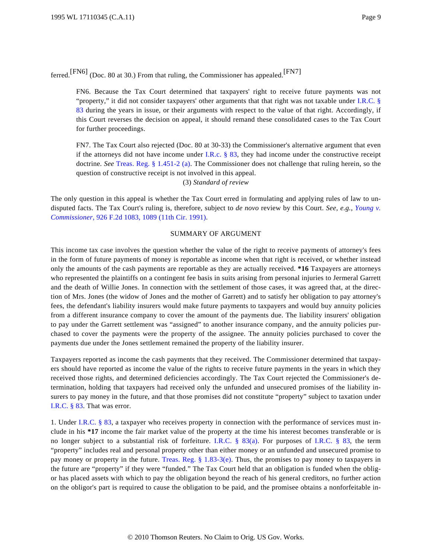ferred.[FN6] (Doc. 80 at 30.) From that ruling, the Commissioner has appealed.[FN7]

FN6. Because the Tax Court determined that taxpayers' right to receive future payments was not "property," it did not consider taxpayers' other arguments that that right was not taxable under [I.R.C. §](http://www.westlaw.com/Find/Default.wl?rs=dfa1.0&vr=2.0&DB=1012823&DocName=26USCAS83&FindType=L) [83](http://www.westlaw.com/Find/Default.wl?rs=dfa1.0&vr=2.0&DB=1012823&DocName=26USCAS83&FindType=L) during the years in issue, or their arguments with respect to the value of that right. Accordingly, if this Court reverses the decision on appeal, it should remand these consolidated cases to the Tax Court for further proceedings.

FN7. The Tax Court also rejected (Doc. 80 at 30-33) the Commissioner's alternative argument that even if the attorneys did not have income under I.R.c.  $\S$  83, they had income under the constructive receipt doctrine. *See* [Treas. Reg. § 1.451-2 \(a](http://www.westlaw.com/Find/Default.wl?rs=dfa1.0&vr=2.0&DB=1016188&DocName=26CFRS1.451-2&FindType=L&ReferencePositionType=T&ReferencePosition=SP_8b3b0000958a4)). The Commissioner does not challenge that ruling herein, so the question of constructive receipt is not involved in this appeal.

(3) *Standard of review*

The only question in this appeal is whether the Tax Court erred in formulating and applying rules of law to undisputed facts. The Tax Court's ruling is, therefore, subject to *de novo* review by this Court. *See, e.g.*, *[Young v.](http://www.westlaw.com/Find/Default.wl?rs=dfa1.0&vr=2.0&DB=350&FindType=Y&ReferencePositionType=S&SerialNum=1991046720&ReferencePosition=1089) [Commissioner](http://www.westlaw.com/Find/Default.wl?rs=dfa1.0&vr=2.0&DB=350&FindType=Y&ReferencePositionType=S&SerialNum=1991046720&ReferencePosition=1089)*[, 926 F.2d 1083, 1089 \(11th Cir. 1991\)](http://www.westlaw.com/Find/Default.wl?rs=dfa1.0&vr=2.0&DB=350&FindType=Y&ReferencePositionType=S&SerialNum=1991046720&ReferencePosition=1089).

#### SUMMARY OF ARGUMENT

This income tax case involves the question whether the value of the right to receive payments of attorney's fees in the form of future payments of money is reportable as income when that right is received, or whether instead only the amounts of the cash payments are reportable as they are actually received. **\*16** Taxpayers are attorneys who represented the plaintiffs on a contingent fee basis in suits arising from personal injuries to Jermeral Garrett and the death of Willie Jones. In connection with the settlement of those cases, it was agreed that, at the direction of Mrs. Jones (the widow of Jones and the mother of Garrett) and to satisfy her obligation to pay attorney's fees, the defendant's liability insurers would make future payments to taxpayers and would buy annuity policies from a different insurance company to cover the amount of the payments due. The liability insurers' obligation to pay under the Garrett settlement was "assigned" to another insurance company, and the annuity policies purchased to cover the payments were the property of the assignee. The annuity policies purchased to cover the payments due under the Jones settlement remained the property of the liability insurer.

Taxpayers reported as income the cash payments that they received. The Commissioner determined that taxpayers should have reported as income the value of the rights to receive future payments in the years in which they received those rights, and determined deficiencies accordingly. The Tax Court rejected the Commissioner's determination, holding that taxpayers had received only the unfunded and unsecured promises of the liability insurers to pay money in the future, and that those promises did not constitute "property" subject to taxation under [I.R.C. § 83](http://www.westlaw.com/Find/Default.wl?rs=dfa1.0&vr=2.0&DB=1012823&DocName=26USCAS83&FindType=L). That was error.

1. Under [I.R.C. § 83](http://www.westlaw.com/Find/Default.wl?rs=dfa1.0&vr=2.0&DB=1012823&DocName=26USCAS83&FindType=L), a taxpayer who receives property in connection with the performance of services must include in his **\*17** income the fair market value of the property at the time his interest becomes transferable or is no longer subject to a substantial risk of forfeiture. [I.R.C. § 83\(a](http://www.westlaw.com/Find/Default.wl?rs=dfa1.0&vr=2.0&DB=1012823&DocName=26USCAS83&FindType=L&ReferencePositionType=T&ReferencePosition=SP_8b3b0000958a4)). For purposes of [I.R.C. § 8](http://www.westlaw.com/Find/Default.wl?rs=dfa1.0&vr=2.0&DB=1012823&DocName=26USCAS83&FindType=L)3, the term "property" includes real and personal property other than either money or an unfunded and unsecured promise to pay money or property in the future. [Treas. Reg. § 1.83-3\(e](http://www.westlaw.com/Find/Default.wl?rs=dfa1.0&vr=2.0&DB=1016188&DocName=26CFRS1.83-3&FindType=L&ReferencePositionType=T&ReferencePosition=SP_7fdd00001ca15)). Thus, the promises to pay money to taxpayers in the future are "property" if they were "funded." The Tax Court held that an obligation is funded when the obligor has placed assets with which to pay the obligation beyond the reach of his general creditors, no further action on the obligor's part is required to cause the obligation to be paid, and the promisee obtains a nonforfeitable in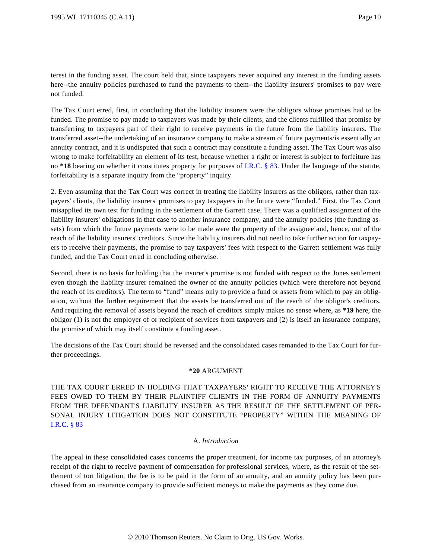terest in the funding asset. The court held that, since taxpayers never acquired any interest in the funding assets here--the annuity policies purchased to fund the payments to them--the liability insurers' promises to pay were not funded.

The Tax Court erred, first, in concluding that the liability insurers were the obligors whose promises had to be funded. The promise to pay made to taxpayers was made by their clients, and the clients fulfilled that promise by transferring to taxpayers part of their right to receive payments in the future from the liability insurers. The transferred asset--the undertaking of an insurance company to make a stream of future payments/is essentially an annuity contract, and it is undisputed that such a contract may constitute a funding asset. The Tax Court was also wrong to make forfeitability an element of its test, because whether a right or interest is subject to forfeiture has no **\*18** bearing on whether it constitutes property for purposes of [I.R.C. § 83](http://www.westlaw.com/Find/Default.wl?rs=dfa1.0&vr=2.0&DB=1012823&DocName=26USCAS83&FindType=L). Under the language of the statute, forfeitability is a separate inquiry from the "property" inquiry.

2. Even assuming that the Tax Court was correct in treating the liability insurers as the obligors, rather than taxpayers' clients, the liability insurers' promises to pay taxpayers in the future were "funded." First, the Tax Court misapplied its own test for funding in the settlement of the Garrett case. There was a qualified assignment of the liability insurers' obligations in that case to another insurance company, and the annuity policies (the funding assets) from which the future payments were to be made were the property of the assignee and, hence, out of the reach of the liability insurers' creditors. Since the liability insurers did not need to take further action for taxpayers to receive their payments, the promise to pay taxpayers' fees with respect to the Garrett settlement was fully funded, and the Tax Court erred in concluding otherwise.

Second, there is no basis for holding that the insurer's promise is not funded with respect to the Jones settlement even though the liability insurer remained the owner of the annuity policies (which were therefore not beyond the reach of its creditors). The term to "fund" means only to provide a fund or assets from which to pay an obligation, without the further requirement that the assets be transferred out of the reach of the obligor's creditors. And requiring the removal of assets beyond the reach of creditors simply makes no sense where, as **\*19** here, the obligor (1) is not the employer of or recipient of services from taxpayers and (2) is itself an insurance company, the promise of which may itself constitute a funding asset.

The decisions of the Tax Court should be reversed and the consolidated cases remanded to the Tax Court for further proceedings.

### **\*20** ARGUMENT

THE TAX COURT ERRED IN HOLDING THAT TAXPAYERS' RIGHT TO RECEIVE THE ATTORNEY'S FEES OWED TO THEM BY THEIR PLAINTIFF CLIENTS IN THE FORM OF ANNUITY PAYMENTS FROM THE DEFENDANT'S LIABILITY INSURER AS THE RESULT OF THE SETTLEMENT OF PER-SONAL INJURY LITIGATION DOES NOT CONSTITUTE "PROPERTY" WITHIN THE MEANING OF [I.R.C. § 83](http://www.westlaw.com/Find/Default.wl?rs=dfa1.0&vr=2.0&DB=1012823&DocName=26USCAS83&FindType=L)

### A. *Introduction*

The appeal in these consolidated cases concerns the proper treatment, for income tax purposes, of an attorney's receipt of the right to receive payment of compensation for professional services, where, as the result of the settlement of tort litigation, the fee is to be paid in the form of an annuity, and an annuity policy has been purchased from an insurance company to provide sufficient moneys to make the payments as they come due.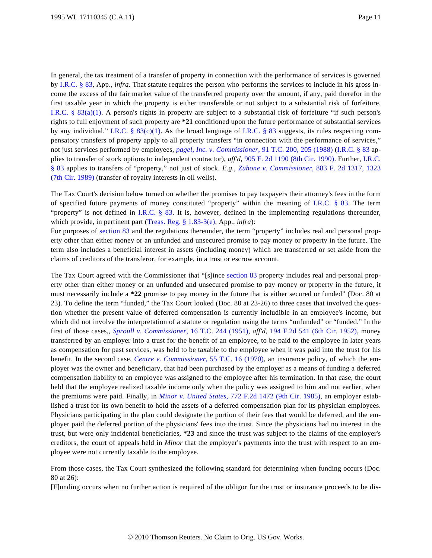In general, the tax treatment of a transfer of property in connection with the performance of services is governed by [I.R.C. § 83](http://www.westlaw.com/Find/Default.wl?rs=dfa1.0&vr=2.0&DB=1012823&DocName=26USCAS83&FindType=L), App., *infra*. That statute requires the person who performs the services to include in his gross income the excess of the fair market value of the transferred property over the amount, if any, paid therefor in the first taxable year in which the property is either transferable or not subject to a substantial risk of forfeiture. [I.R.C. § 83\(a\)\(1](http://www.westlaw.com/Find/Default.wl?rs=dfa1.0&vr=2.0&DB=1012823&DocName=26USCAS83&FindType=L&ReferencePositionType=T&ReferencePosition=SP_7b9b000044381)). A person's rights in property are subject to a substantial risk of forfeiture "if such person's rights to full enjoyment of such property are **\*21** conditioned upon the future performance of substantial services by any individual." [I.R.C. § 83](http://www.westlaw.com/Find/Default.wl?rs=dfa1.0&vr=2.0&DB=1012823&DocName=26USCAS83&FindType=L) $(c)(1)$ . As the broad language of I.R.C. § 83 suggests, its rules respecting compensatory transfers of property apply to all property transfers "in connection with the performance of services," not just services performed by employees, *[pagel, Inc. v. Commissioner](http://www.westlaw.com/Find/Default.wl?rs=dfa1.0&vr=2.0&DB=838&FindType=Y&ReferencePositionType=S&SerialNum=1988102296&ReferencePosition=205)*[, 91 T.C. 200, 205 \(1988\)](http://www.westlaw.com/Find/Default.wl?rs=dfa1.0&vr=2.0&DB=838&FindType=Y&ReferencePositionType=S&SerialNum=1988102296&ReferencePosition=205) [\(I.R.C. § 83](http://www.westlaw.com/Find/Default.wl?rs=dfa1.0&vr=2.0&DB=1012823&DocName=26USCAS83&FindType=L) applies to transfer of stock options to independent contractor), *aff'd*, [905 F. 2d 1190 \(8th Cir. 1990\)](http://www.westlaw.com/Find/Default.wl?rs=dfa1.0&vr=2.0&DB=350&FindType=Y&SerialNum=1990094348). Further, [I.R.C.](http://www.westlaw.com/Find/Default.wl?rs=dfa1.0&vr=2.0&DB=1012823&DocName=26USCAS83&FindType=L) [§ 83](http://www.westlaw.com/Find/Default.wl?rs=dfa1.0&vr=2.0&DB=1012823&DocName=26USCAS83&FindType=L) applies to transfers of "property," not just of stock. *E.g.*, *[Zuhone v. Commissione](http://www.westlaw.com/Find/Default.wl?rs=dfa1.0&vr=2.0&DB=350&FindType=Y&ReferencePositionType=S&SerialNum=1989126456&ReferencePosition=1323)r*[, 883 F. 2d 1317, 1323](http://www.westlaw.com/Find/Default.wl?rs=dfa1.0&vr=2.0&DB=350&FindType=Y&ReferencePositionType=S&SerialNum=1989126456&ReferencePosition=1323) [\(7th Cir. 1989\)](http://www.westlaw.com/Find/Default.wl?rs=dfa1.0&vr=2.0&DB=350&FindType=Y&ReferencePositionType=S&SerialNum=1989126456&ReferencePosition=1323) (transfer of royalty interests in oil wells).

The Tax Court's decision below turned on whether the promises to pay taxpayers their attorney's fees in the form of specified future payments of money constituted "property" within the meaning of [I.R.C. § 8](http://www.westlaw.com/Find/Default.wl?rs=dfa1.0&vr=2.0&DB=1012823&DocName=26USCAS83&FindType=L)3. The term "property" is not defined in [I.R.C. § 8](http://www.westlaw.com/Find/Default.wl?rs=dfa1.0&vr=2.0&DB=1012823&DocName=26USCAS83&FindType=L)3. It is, however, defined in the implementing regulations thereunder, which provide, in pertinent part [\(Treas. Reg. § 1.83-3\(e\)](http://www.westlaw.com/Find/Default.wl?rs=dfa1.0&vr=2.0&DB=1016188&DocName=26CFRS1.83-3&FindType=L&ReferencePositionType=T&ReferencePosition=SP_7fdd00001ca15), App., *infra*):

For purposes of [section 83](http://www.westlaw.com/Find/Default.wl?rs=dfa1.0&vr=2.0&DB=1012823&DocName=26USCAS83&FindType=L) and the regulations thereunder, the term "property" includes real and personal property other than either money or an unfunded and unsecured promise to pay money or property in the future. The term also includes a beneficial interest in assets (including money) which are transferred or set aside from the claims of creditors of the transferor, for example, in a trust or escrow account.

The Tax Court agreed with the Commissioner that "[s]ince [section 83](http://www.westlaw.com/Find/Default.wl?rs=dfa1.0&vr=2.0&DB=1012823&DocName=26USCAS83&FindType=L) property includes real and personal property other than either money or an unfunded and unsecured promise to pay money or property in the future, it must necessarily include a **\*22** promise to pay money in the future that is either secured or funded" (Doc. 80 at 23). To define the term "funded," the Tax Court looked (Doc. 80 at 23-26) to three cases that involved the question whether the present value of deferred compensation is currently includible in an employee's income, but which did not involve the interpretation of a statute or regulation using the terms "unfunded" or "funded." In the first of those cases,, *[Sproull v. Commissione](http://www.westlaw.com/Find/Default.wl?rs=dfa1.0&vr=2.0&DB=838&FindType=Y&SerialNum=1951287377)r*[, 16 T.C. 244 \(1951](http://www.westlaw.com/Find/Default.wl?rs=dfa1.0&vr=2.0&DB=838&FindType=Y&SerialNum=1951287377)), *aff'd*, [194 F.2d 541 \(6th Cir. 1952](http://www.westlaw.com/Find/Default.wl?rs=dfa1.0&vr=2.0&DB=350&FindType=Y&SerialNum=1952200085)), money transferred by an employer into a trust for the benefit of an employee, to be paid to the employee in later years as compensation for past services, was held to be taxable to the employee when it was paid into the trust for his benefit. In the second case, *[Centre v. Commissioner](http://www.westlaw.com/Find/Default.wl?rs=dfa1.0&vr=2.0&DB=838&FindType=Y&SerialNum=1971290034)*[, 55 T.C. 16 \(1970](http://www.westlaw.com/Find/Default.wl?rs=dfa1.0&vr=2.0&DB=838&FindType=Y&SerialNum=1971290034)), an insurance policy, of which the employer was the owner and beneficiary, that had been purchased by the employer as a means of funding a deferred compensation liability to an employee was assigned to the employee after his termination. In that case, the court held that the employee realized taxable income only when the policy was assigned to him and not earlier, when the premiums were paid. Finally, in *[Minor v. United State](http://www.westlaw.com/Find/Default.wl?rs=dfa1.0&vr=2.0&DB=350&FindType=Y&SerialNum=1985148622)s*[, 772 F.2d 1472 \(9th Cir. 1985](http://www.westlaw.com/Find/Default.wl?rs=dfa1.0&vr=2.0&DB=350&FindType=Y&SerialNum=1985148622)), an employer established a trust for its own benefit to hold the assets of a deferred compensation plan for its physician employees. Physicians participating in the plan could designate the portion of their fees that would be deferred, and the employer paid the deferred portion of the physicians' fees into the trust. Since the physicians had no interest in the trust, but were only incidental beneficiaries, **\*23** and since the trust was subject to the claims of the employer's creditors, the court of appeals held in *Minor* that the employer's payments into the trust with respect to an employee were not currently taxable to the employee.

From those cases, the Tax Court synthesized the following standard for determining when funding occurs (Doc. 80 at 26):

[F]unding occurs when no further action is required of the obligor for the trust or insurance proceeds to be dis-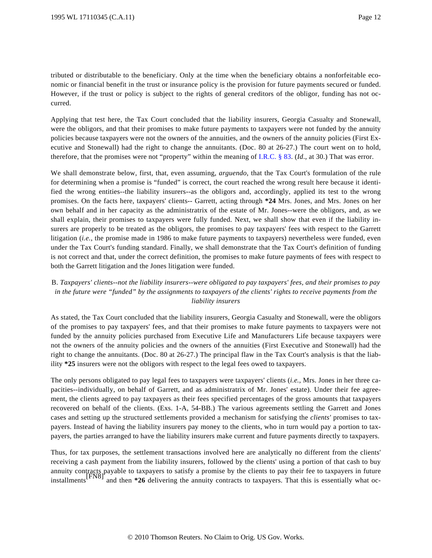tributed or distributable to the beneficiary. Only at the time when the beneficiary obtains a nonforfeitable economic or financial benefit in the trust or insurance policy is the provision for future payments secured or funded. However, if the trust or policy is subject to the rights of general creditors of the obligor, funding has not occurred.

Applying that test here, the Tax Court concluded that the liability insurers, Georgia Casualty and Stonewall, were the obligors, and that their promises to make future payments to taxpayers were not funded by the annuity policies because taxpayers were not the owners of the annuities, and the owners of the annuity policies (First Executive and Stonewall) had the right to change the annuitants. (Doc. 80 at 26-27.) The court went on to hold, therefore, that the promises were not "property" within the meaning of [I.R.C. § 83](http://www.westlaw.com/Find/Default.wl?rs=dfa1.0&vr=2.0&DB=1012823&DocName=26USCAS83&FindType=L). (*Id*., at 30.) That was error.

We shall demonstrate below, first, that, even assuming, *arguendo*, that the Tax Court's formulation of the rule for determining when a promise is "funded" is correct, the court reached the wrong result here because it identified the wrong entities--the liability insurers--as the obligors and, accordingly, applied its test to the wrong promises. On the facts here, taxpayers' clients-- Garrett, acting through **\*24** Mrs. Jones, and Mrs. Jones on her own behalf and in her capacity as the administratrix of the estate of Mr. Jones--were the obligors, and, as we shall explain, their promises to taxpayers were fully funded. Next, we shall show that even if the liability insurers are properly to be treated as the obligors, the promises to pay taxpayers' fees with respect to the Garrett litigation (*i.e.*, the promise made in 1986 to make future payments to taxpayers) nevertheless were funded, even under the Tax Court's funding standard. Finally, we shall demonstrate that the Tax Court's definition of funding is not correct and that, under the correct definition, the promises to make future payments of fees with respect to both the Garrett litigation and the Jones litigation were funded.

# B. *Taxpayers' clients--not the liability insurers--were obligated to pay taxpayers' fees, and their promises to pay in the future were "funded" by the assignments to taxpayers of the clients' rights to receive payments from the liability insurers*

As stated, the Tax Court concluded that the liability insurers, Georgia Casualty and Stonewall, were the obligors of the promises to pay taxpayers' fees, and that their promises to make future payments to taxpayers were not funded by the annuity policies purchased from Executive Life and Manufacturers Life because taxpayers were not the owners of the annuity policies and the owners of the annuities (First Executive and Stonewall) had the right to change the annuitants. (Doc. 80 at 26-27.) The principal flaw in the Tax Court's analysis is that the liability **\*25** insurers were not the obligors with respect to the legal fees owed to taxpayers.

The only persons obligated to pay legal fees to taxpayers were taxpayers' clients (*i.e.*, Mrs. Jones in her three capacities--individually, on behalf of Garrett, and as administratrix of Mr. Jones' estate). Under their fee agreement, the clients agreed to pay taxpayers as their fees specified percentages of the gross amounts that taxpayers recovered on behalf of the clients. (Exs. 1-A, 54-BB.) The various agreements settling the Garrett and Jones cases and setting up the structured settlements provided a mechanism for satisfying the *clients'* promises to taxpayers. Instead of having the liability insurers pay money to the clients, who in turn would pay a portion to taxpayers, the parties arranged to have the liability insurers make current and future payments directly to taxpayers.

Thus, for tax purposes, the settlement transactions involved here are analytically no different from the clients' receiving a cash payment from the liability insurers, followed by the clients' using a portion of that cash to buy annuity contracts payable to taxpayers to satisfy a promise by the clients to pay their fee to taxpayers in future<br>installments<sup>[FN8]</sup> and then \*26 delivering the annuity contracts to taxpayers. That this is essentially wh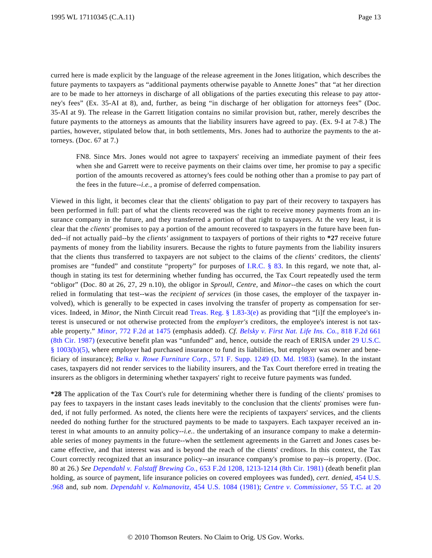curred here is made explicit by the language of the release agreement in the Jones litigation, which describes the future payments to taxpayers as "additional payments otherwise payable to Annette Jones" that "at her direction are to be made to her attorneys in discharge of all obligations of the parties executing this release to pay attorney's fees" (Ex. 35-AI at 8), and, further, as being "in discharge of her obligation for attorneys fees" (Doc. 35-AI at 9). The release in the Garrett litigation contains no similar provision but, rather, merely describes the future payments to the attorneys as amounts that the liability insurers have agreed to pay. (Ex. 9-I at 7-8.) The parties, however, stipulated below that, in both settlements, Mrs. Jones had to authorize the payments to the attorneys. (Doc. 67 at 7.)

FN8. Since Mrs. Jones would not agree to taxpayers' receiving an immediate payment of their fees when she and Garrett were to receive payments on their claims over time, her promise to pay a specific portion of the amounts recovered as attorney's fees could be nothing other than a promise to pay part of the fees in the future--*i.e.*, a promise of deferred compensation.

Viewed in this light, it becomes clear that the clients' obligation to pay part of their recovery to taxpayers has been performed in full: part of what the clients recovered was the right to receive money payments from an insurance company in the future, and they transferred a portion of that right to taxpayers. At the very least, it is clear that the *clients'* promises to pay a portion of the amount recovered to taxpayers in the future have been funded--if not actually paid--by the *clients'* assignment to taxpayers of portions of their rights to **\*27** receive future payments of money from the liability insurers. Because the rights to future payments from the liability insurers that the clients thus transferred to taxpayers are not subject to the claims of the *clients'* creditors, the clients' promises are "funded" and constitute "property" for purposes of [I.R.C. § 83](http://www.westlaw.com/Find/Default.wl?rs=dfa1.0&vr=2.0&DB=1012823&DocName=26USCAS83&FindType=L). In this regard, we note that, although in stating its test for determining whether funding has occurred, the Tax Court repeatedly used the term "obligor" (Doc. 80 at 26, 27, 29 n.10), the obligor in *Sproull*, *Centre*, and *Minor*--the cases on which the court relied in formulating that test--was the *recipient of services* (in those cases, the employer of the taxpayer involved), which is generally to be expected in cases involving the transfer of property as compensation for services. Indeed, in *Minor*, the Ninth Circuit read [Treas. Reg. § 1.83-3\(e](http://www.westlaw.com/Find/Default.wl?rs=dfa1.0&vr=2.0&DB=1016188&DocName=26CFRS1.83-3&FindType=L&ReferencePositionType=T&ReferencePosition=SP_7fdd00001ca15)) as providing that "[i]f the employee's interest is unsecured or not otherwise protected from the *employer's* creditors, the employee's interest is not taxable property." *[Minor](http://www.westlaw.com/Find/Default.wl?rs=dfa1.0&vr=2.0&DB=350&FindType=Y&ReferencePositionType=S&SerialNum=1985148622&ReferencePosition=1475)*[, 772 F.2d at 147](http://www.westlaw.com/Find/Default.wl?rs=dfa1.0&vr=2.0&DB=350&FindType=Y&ReferencePositionType=S&SerialNum=1985148622&ReferencePosition=1475)5 (emphasis added). *Cf. [Belsky v. First Nat. Life Ins. Co](http://www.westlaw.com/Find/Default.wl?rs=dfa1.0&vr=2.0&DB=350&FindType=Y&SerialNum=1987060295).*[, 818 F.2d 661](http://www.westlaw.com/Find/Default.wl?rs=dfa1.0&vr=2.0&DB=350&FindType=Y&SerialNum=1987060295) [\(8th Cir. 1987\)](http://www.westlaw.com/Find/Default.wl?rs=dfa1.0&vr=2.0&DB=350&FindType=Y&SerialNum=1987060295) (executive benefit plan was "unfunded" and, hence, outside the reach of ERISA under [29 U.S.C.](http://www.westlaw.com/Find/Default.wl?rs=dfa1.0&vr=2.0&DB=1000546&DocName=29USCAS1003&FindType=L&ReferencePositionType=T&ReferencePosition=SP_277b00009cfc7) [§ 1003\(b\)\(5\)](http://www.westlaw.com/Find/Default.wl?rs=dfa1.0&vr=2.0&DB=1000546&DocName=29USCAS1003&FindType=L&ReferencePositionType=T&ReferencePosition=SP_277b00009cfc7), where employer had purchased insurance to fund its liabilities, but employer was owner and beneficiary of insurance); *[Belka v. Rowe Furniture Corp](http://www.westlaw.com/Find/Default.wl?rs=dfa1.0&vr=2.0&DB=345&FindType=Y&SerialNum=1983146157).*[, 571 F. Supp. 1249 \(D. Md. 198](http://www.westlaw.com/Find/Default.wl?rs=dfa1.0&vr=2.0&DB=345&FindType=Y&SerialNum=1983146157)3) (same). In the instant cases, taxpayers did not render services to the liability insurers, and the Tax Court therefore erred in treating the insurers as the obligors in determining whether taxpayers' right to receive future payments was funded.

**\*28** The application of the Tax Court's rule for determining whether there is funding of the clients' promises to pay fees to taxpayers in the instant cases leads inevitably to the conclusion that the clients' promises were funded, if not fully performed. As noted, the clients here were the recipients of taxpayers' services, and the clients needed do nothing further for the structured payments to be made to taxpayers. Each taxpayer received an interest in what amounts to an annuity policy--*i.e.*. the undertaking of an insurance company to make a determinable series of money payments in the future--when the settlement agreements in the Garrett and Jones cases became effective, and that interest was and is beyond the reach of the clients' creditors. In this context, the Tax Court correctly recognized that an insurance policy--an insurance company's promise to pay--is property. (Doc. 80 at 26.) *See [Dependahl v. Falstaff Brewing Co](http://www.westlaw.com/Find/Default.wl?rs=dfa1.0&vr=2.0&DB=350&FindType=Y&ReferencePositionType=S&SerialNum=1981127994&ReferencePosition=1213).*[, 653 F.2d 1208, 1213-1214 \(8th Cir. 1981](http://www.westlaw.com/Find/Default.wl?rs=dfa1.0&vr=2.0&DB=350&FindType=Y&ReferencePositionType=S&SerialNum=1981127994&ReferencePosition=1213)) (death benefit plan holding, as source of payment, life insurance policies on covered employees was funded), *cert. denied*, [454 U.S.](http://www.westlaw.com/Find/Default.wl?rs=dfa1.0&vr=2.0&DB=780&FindType=Y&SerialNum=1981243338) [.968](http://www.westlaw.com/Find/Default.wl?rs=dfa1.0&vr=2.0&DB=780&FindType=Y&SerialNum=1981243338) and, *sub nom*. *[Dependahl v. Kalmanovit](http://www.westlaw.com/Find/Default.wl?rs=dfa1.0&vr=2.0&DB=780&FindType=Y&SerialNum=1981244001)z*[, 454 U.S. 1084 \(1981](http://www.westlaw.com/Find/Default.wl?rs=dfa1.0&vr=2.0&DB=780&FindType=Y&SerialNum=1981244001)); *[Centre v. Commissioner](http://www.westlaw.com/Find/Default.wl?rs=dfa1.0&vr=2.0&DB=838&FindType=Y&ReferencePositionType=S&SerialNum=1971290034&ReferencePosition=20)*, 55 T.C. at 20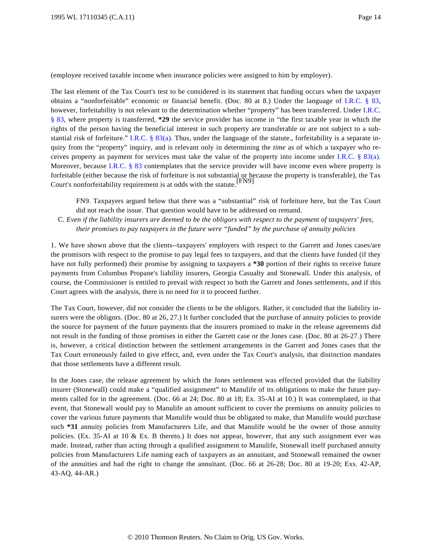(employee received taxable income when insurance policies were assigned to him by employer).

The last element of the Tax Court's test to be considered is its statement that funding occurs when the taxpayer obtains a "nonforfeitable" economic or financial benefit. (Doc. 80 at 8.) Under the language of [I.R.C. § 8](http://www.westlaw.com/Find/Default.wl?rs=dfa1.0&vr=2.0&DB=1012823&DocName=26USCAS83&FindType=L)3, however, forfeitability is not relevant to the determination whether "property" has been transferred. Under [I.R.C.](http://www.westlaw.com/Find/Default.wl?rs=dfa1.0&vr=2.0&DB=1012823&DocName=26USCAS83&FindType=L) [§ 83](http://www.westlaw.com/Find/Default.wl?rs=dfa1.0&vr=2.0&DB=1012823&DocName=26USCAS83&FindType=L), where property is transferred, **\*29** the service provider has income in "the first taxable year in which the rights of the person having the beneficial interest in such property are transferable or are not subject to a sub-stantial risk of forfeiture." [I.R.C. § 83\(a\)](http://www.westlaw.com/Find/Default.wl?rs=dfa1.0&vr=2.0&DB=1012823&DocName=26USCAS83&FindType=L&ReferencePositionType=T&ReferencePosition=SP_8b3b0000958a4). Thus, under the language of the statute., forfeitability is a separate inquiry from the "property" inquiry, and is relevant only in determining the *time* as of which a taxpayer who receives property as payment for services must take the value of the property into income under [I.R.C. § 83\(a](http://www.westlaw.com/Find/Default.wl?rs=dfa1.0&vr=2.0&DB=1012823&DocName=26USCAS83&FindType=L&ReferencePositionType=T&ReferencePosition=SP_8b3b0000958a4)). Moreover, because [I.R.C. § 83](http://www.westlaw.com/Find/Default.wl?rs=dfa1.0&vr=2.0&DB=1012823&DocName=26USCAS83&FindType=L) contemplates that the service provider will have income even where property is forfeitable (either because the risk of forfeiture is not substantial or because the property is transferable), the Tax Court's nonforfeitability requirement is at odds with the statute.<sup>[FN9]</sup>

FN9. Taxpayers argued below that there was a "substantial" risk of forfeiture here, but the Tax Court did not reach the issue. That question would have to be addressed on remand.

C. *Even if the liability insurers are deemed to be the obligors with respect to the payment of taxpayers' fees, their promises to pay taxpayers in the future were "funded" by the purchase of annuity policies*

1. We have shown above that the clients--taxpayers' employers with respect to the Garrett and Jones cases/are the promisors with respect to the promise to pay legal fees to taxpayers, and that the clients have funded (if they have not fully performed) their promise by assigning to taxpayers a **\*30** portion of their rights to receive future payments from Columbus Propane's liability insurers, Georgia Casualty and Stonewall. Under this analysis, of course, the Commissioner is entitled to prevail with respect to both the Garrett and Jones settlements, and if this Court agrees with the analysis, there is no need for it to proceed further.

The Tax Court, however, did not consider the clients to be the obligors. Rather, it concluded that the liability insurers were the obligors. (Doc. 80 at 26, 27.) It further concluded that the purchase of annuity policies to provide the source for payment of the future payments that the insurers promised to make in the release agreements did not result in the funding of those promises in either the Garrett case or the Jones case. (Doc. 80 at 26-27.) There is, however, a critical distinction between the settlement arrangements in the Garrett and Jones cases that the Tax Court erroneously failed to give effect, and, even under the Tax Court's analysis, that distinction mandates that those settlements have a different result.

In the Jones case, the release agreement by which the Jones settlement was effected provided that the liability insurer (Stonewall) could make a "qualified assignment" to Manulife of its obligations to make the future payments called for in the agreement. (Doc. 66 at 24; Doc. 80 at 18; Ex. 35-AI at 10.) It was contemplated, in that event, that Stonewall would pay to Manulife an amount sufficient to cover the premiums on annuity policies to cover the various future payments that Manulife would thus be obligated to make, that Manulife would purchase such **\*31** annuity policies from Manufacturers Life, and that Manulife would be the owner of those annuity policies. (Ex. 35-AI at 10 & Ex. B thereto.) It does not appear, however, that any such assignment ever was made. Instead, rather than acting through a qualified assignment to Manulife, Stonewall itself purchased annuity policies from Manufacturers Life naming each of taxpayers as an annuitant, and Stonewall remained the owner of the annuities and had the right to change the annuitant. (Doc. 66 at 26-28; Doc. 80 at 19-20; Exs. 42-AP, 43-AQ, 44-AR.)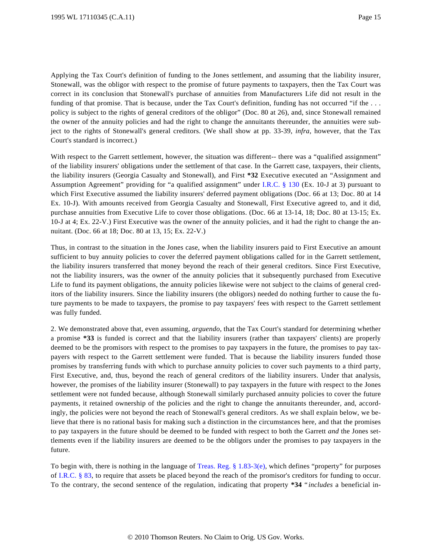Applying the Tax Court's definition of funding to the Jones settlement, and assuming that the liability insurer, Stonewall, was the obligor with respect to the promise of future payments to taxpayers, then the Tax Court was correct in its conclusion that Stonewall's purchase of annuities from Manufacturers Life did not result in the funding of that promise. That is because, under the Tax Court's definition, funding has not occurred "if the . . . policy is subject to the rights of general creditors of the obligor" (Doc. 80 at 26), and, since Stonewall remained the owner of the annuity policies and had the right to change the annuitants thereunder, the annuities were subject to the rights of Stonewall's general creditors. (We shall show at pp. 33-39, *infra*, however, that the Tax Court's standard is incorrect.)

With respect to the Garrett settlement, however, the situation was different-- there was a "qualified assignment" of the liability insurers' obligations under the settlement of that case. In the Garrett case, taxpayers, their clients, the liability insurers (Georgia Casualty and Stonewall), and First **\*32** Executive executed an "Assignment and Assumption Agreement" providing for "a qualified assignment" under [I.R.C. § 130](http://www.westlaw.com/Find/Default.wl?rs=dfa1.0&vr=2.0&DB=1012823&DocName=26USCAS130&FindType=L) (Ex. 10-J at 3) pursuant to which First Executive assumed the liability insurers' deferred payment obligations (Doc. 66 at 13; Doc. 80 at 14 Ex. 10-J). With amounts received from Georgia Casualty and Stonewall, First Executive agreed to, and it did, purchase annuities from Executive Life to cover those obligations. (Doc. 66 at 13-14, 18; Doc. 80 at 13-15; Ex. 10-J at 4; Ex. 22-V.) First Executive was the owner of the annuity policies, and it had the right to change the annuitant. (Doc. 66 at 18; Doc. 80 at 13, 15; Ex. 22-V.)

Thus, in contrast to the situation in the Jones case, when the liability insurers paid to First Executive an amount sufficient to buy annuity policies to cover the deferred payment obligations called for in the Garrett settlement, the liability insurers transferred that money beyond the reach of their general creditors. Since First Executive, not the liability insurers, was the owner of the annuity policies that it subsequently purchased from Executive Life to fund its payment obligations, the annuity policies likewise were not subject to the claims of general creditors of the liability insurers. Since the liability insurers (the obligors) needed do nothing further to cause the future payments to be made to taxpayers, the promise to pay taxpayers' fees with respect to the Garrett settlement was fully funded.

2. We demonstrated above that, even assuming, *arguendo*, that the Tax Court's standard for determining whether a promise **\*33** is funded is correct and that the liability insurers (rather than taxpayers' clients) are properly deemed to be the promisors with respect to the promises to pay taxpayers in the future, the promises to pay taxpayers with respect to the Garrett settlement were funded. That is because the liability insurers funded those promises by transferring funds with which to purchase annuity policies to cover such payments to a third party, First Executive, and, thus, beyond the reach of general creditors of the liability insurers. Under that analysis, however, the promises of the liability insurer (Stonewall) to pay taxpayers in the future with respect to the Jones settlement were not funded because, although Stonewall similarly purchased annuity policies to cover the future payments, it retained ownership of the policies and the right to change the annuitants thereunder, and, accordingly, the policies were not beyond the reach of Stonewall's general creditors. As we shall explain below, we believe that there is no rational basis for making such a distinction in the circumstances here, and that the promises to pay taxpayers in the future should be deemed to be funded with respect to both the Garrett *and* the Jones settlements even if the liability insurers are deemed to be the obligors under the promises to pay taxpayers in the future.

To begin with, there is nothing in the language of Treas. Reg.  $\S 1.83-3(e)$ , which defines "property" for purposes of [I.R.C. § 83](http://www.westlaw.com/Find/Default.wl?rs=dfa1.0&vr=2.0&DB=1012823&DocName=26USCAS83&FindType=L), to require that assets be placed beyond the reach of the promisor's creditors for funding to occur. To the contrary, the second sentence of the regulation, indicating that property **\*34** " *includes* a beneficial in-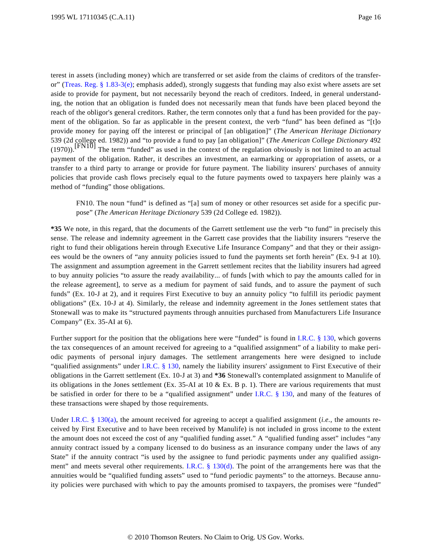terest in assets (including money) which are transferred or set aside from the claims of creditors of the transferor[" \(Treas. Reg. § 1.83-3\(e\)](http://www.westlaw.com/Find/Default.wl?rs=dfa1.0&vr=2.0&DB=1016188&DocName=26CFRS1.83-3&FindType=L&ReferencePositionType=T&ReferencePosition=SP_7fdd00001ca15); emphasis added), strongly suggests that funding may also exist where assets are set aside to provide for payment, but not necessarily beyond the reach of creditors. Indeed, in general understanding, the notion that an obligation is funded does not necessarily mean that funds have been placed beyond the reach of the obligor's general creditors. Rather, the term connotes only that a fund has been provided for the payment of the obligation. So far as applicable in the present context, the verb "fund" has been defined as "[t]o provide money for paying off the interest or principal of [an obligation]" (*The American Heritage Dictionary* 539 (2d college ed. 1982)) and "to provide a fund to pay [an obligation]" (*The American College Dictionary* 492  $(1970)$ .<sup>[FN10]</sup> The term "funded" as used in the context of the regulation obviously is not limited to an actual payment of the obligation. Rather, it describes an investment, an earmarking or appropriation of assets, or a transfer to a third party to arrange or provide for future payment. The liability insurers' purchases of annuity policies that provide cash flows precisely equal to the future payments owed to taxpayers here plainly was a method of "funding" those obligations.

FN10. The noun "fund" is defined as "[a] sum of money or other resources set aside for a specific purpose" (*The American Heritage Dictionary* 539 (2d College ed. 1982)).

**\*35** We note, in this regard, that the documents of the Garrett settlement use the verb "to fund" in precisely this sense. The release and indemnity agreement in the Garrett case provides that the liability insurers "reserve the right to fund their obligations herein through Executive Life Insurance Company" and that they or their assignees would be the owners of "any annuity policies issued to fund the payments set forth herein" (Ex. 9-I at 10). The assignment and assumption agreement in the Garrett settlement recites that the liability insurers had agreed to buy annuity policies "to assure the ready availability... of funds [with which to pay the amounts called for in the release agreement], to serve as a medium for payment of said funds, and to assure the payment of such funds" (Ex. 10-J at 2), and it requires First Executive to buy an annuity policy "to fulfill its periodic payment obligations" (Ex. 10-J at 4). Similarly, the release and indemnity agreement in the Jones settlement states that Stonewall was to make its "structured payments through annuities purchased from Manufacturers Life Insurance Company" (Ex. 35-AI at 6).

Further support for the position that the obligations here were "funded" is found in [I.R.C. § 130](http://www.westlaw.com/Find/Default.wl?rs=dfa1.0&vr=2.0&DB=1012823&DocName=26USCAS130&FindType=L), which governs the tax consequences of an amount received for agreeing to a "qualified assignment" of a liability to make periodic payments of personal injury damages. The settlement arrangements here were designed to include "qualified assignments" under [I.R.C. § 130](http://www.westlaw.com/Find/Default.wl?rs=dfa1.0&vr=2.0&DB=1012823&DocName=26USCAS130&FindType=L), namely the liability insurers' assignment to First Executive of their obligations in the Garrett settlement (Ex. 10-J at 3) and **\*36** Stonewall's contemplated assignment to Manulife of its obligations in the Jones settlement (Ex. 35-AI at 10  $\&$  Ex. B p. 1). There are various requirements that must be satisfied in order for there to be a "qualified assignment" under [I.R.C. § 130](http://www.westlaw.com/Find/Default.wl?rs=dfa1.0&vr=2.0&DB=1012823&DocName=26USCAS130&FindType=L), and many of the features of these transactions were shaped by those requirements.

Under [I.R.C. § 130\(a](http://www.westlaw.com/Find/Default.wl?rs=dfa1.0&vr=2.0&DB=1012823&DocName=26USCAS130&FindType=L&ReferencePositionType=T&ReferencePosition=SP_8b3b0000958a4)), the amount received for agreeing to accept a qualified assignment (*i.e.*, the amounts received by First Executive and to have been received by Manulife) is not included in gross income to the extent the amount does not exceed the cost of any "qualified funding asset." A "qualified funding asset" includes "any annuity contract issued by a company licensed to do business as an insurance company under the laws of any State" if the annuity contract "is used by the assignee to fund periodic payments under any qualified assign-ment" and meets several other requirements. [I.R.C. § 130\(d](http://www.westlaw.com/Find/Default.wl?rs=dfa1.0&vr=2.0&DB=1012823&DocName=26USCAS130&FindType=L&ReferencePositionType=T&ReferencePosition=SP_5ba1000067d06)). The point of the arrangements here was that the annuities would be "qualified funding assets" used to "fund periodic payments" to the attorneys. Because annuity policies were purchased with which to pay the amounts promised to taxpayers, the promises were "funded"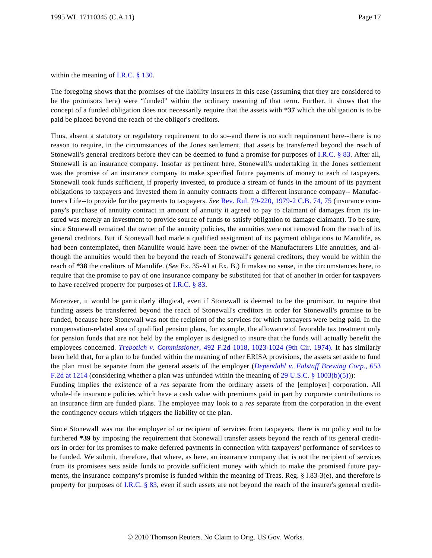within the meaning of [I.R.C. § 130](http://www.westlaw.com/Find/Default.wl?rs=dfa1.0&vr=2.0&DB=1012823&DocName=26USCAS130&FindType=L).

The foregoing shows that the promises of the liability insurers in this case (assuming that they are considered to be the promisors here) were "funded" within the ordinary meaning of that term. Further, it shows that the concept of a funded obligation does not necessarily require that the assets with **\*37** which the obligation is to be paid be placed beyond the reach of the obligor's creditors.

Thus, absent a statutory or regulatory requirement to do so--and there is no such requirement here--there is no reason to require, in the circumstances of the Jones settlement, that assets be transferred beyond the reach of Stonewall's general creditors before they can be deemed to fund a promise for purposes of [I.R.C. § 83](http://www.westlaw.com/Find/Default.wl?rs=dfa1.0&vr=2.0&DB=1012823&DocName=26USCAS83&FindType=L). After all, Stonewall is an insurance company. Insofar as pertinent here, Stonewall's undertaking in the Jones settlement was the promise of an insurance company to make specified future payments of money to each of taxpayers. Stonewall took funds sufficient, if properly invested, to produce a stream of funds in the amount of its payment obligations to taxpayers and invested them in annuity contracts from a different insurance company-- Manufacturers Life--to provide for the payments to taxpayers. *See* [Rev. Rul. 79-220, 1979-2 C.B. 74, 75](http://www.westlaw.com/Find/Default.wl?rs=dfa1.0&vr=2.0&DB=0001048&FindType=Y&SerialNum=1979020295) (insurance company's purchase of annuity contract in amount of annuity it agreed to pay to claimant of damages from its insured was merely an investment to provide source of funds to satisfy obligation to damage claimant). To be sure, since Stonewall remained the owner of the annuity policies, the annuities were not removed from the reach of its general creditors. But if Stonewall had made a qualified assignment of its payment obligations to Manulife, as had been contemplated, then Manulife would have been the owner of the Manufacturers Life annuities, and although the annuities would then be beyond the reach of Stonewall's general creditors, they would be within the reach of **\*38** the creditors of Manulife. (*See* Ex. 35-AI at Ex. B.) It makes no sense, in the circumstances here, to require that the promise to pay of one insurance company be substituted for that of another in order for taxpayers to have received property for purposes of [I.R.C. § 83](http://www.westlaw.com/Find/Default.wl?rs=dfa1.0&vr=2.0&DB=1012823&DocName=26USCAS83&FindType=L).

Moreover, it would be particularly illogical, even if Stonewall is deemed to be the promisor, to require that funding assets be transferred beyond the reach of Stonewall's creditors in order for Stonewall's promise to be funded, because here Stonewall was not the recipient of the services for which taxpayers were being paid. In the compensation-related area of qualified pension plans, for example, the allowance of favorable tax treatment only for pension funds that are not held by the employer is designed to insure that the funds will actually benefit the employees concerned. *[Trebotich v. Commissione](http://www.westlaw.com/Find/Default.wl?rs=dfa1.0&vr=2.0&DB=350&FindType=Y&ReferencePositionType=S&SerialNum=1974109467&ReferencePosition=1023)r*[, 492 F.2d 1018, 1023-1024 \(9th Cir. 197](http://www.westlaw.com/Find/Default.wl?rs=dfa1.0&vr=2.0&DB=350&FindType=Y&ReferencePositionType=S&SerialNum=1974109467&ReferencePosition=1023)4). It has similarly been held that, for a plan to be funded within the meaning of other ERISA provisions, the assets set aside to fund the plan must be separate from the general assets of the employer (*[Dependahl v. Falstaff Brewing Corp.](http://www.westlaw.com/Find/Default.wl?rs=dfa1.0&vr=2.0&DB=350&FindType=Y&ReferencePositionType=S&SerialNum=1981127994&ReferencePosition=1214)*, 653 [F.2d at 1214](http://www.westlaw.com/Find/Default.wl?rs=dfa1.0&vr=2.0&DB=350&FindType=Y&ReferencePositionType=S&SerialNum=1981127994&ReferencePosition=1214) (considering whether a plan was unfunded within the meaning of [29 U.S.C. § 1003\(b\)\(5\)](http://www.westlaw.com/Find/Default.wl?rs=dfa1.0&vr=2.0&DB=1000546&DocName=29USCAS1003&FindType=L&ReferencePositionType=T&ReferencePosition=SP_277b00009cfc7))): Funding implies the existence of a *res* separate from the ordinary assets of the [employer] corporation. All

whole-life insurance policies which have a cash value with premiums paid in part by corporate contributions to an insurance firm are funded plans. The employee may look to a *res* separate from the corporation in the event the contingency occurs which triggers the liability of the plan.

Since Stonewall was not the employer of or recipient of services from taxpayers, there is no policy end to be furthered **\*39** by imposing the requirement that Stonewall transfer assets beyond the reach of its general creditors in order for its promises to make deferred payments in connection with taxpayers' performance of services to be funded. We submit, therefore, that where, as here, an insurance company that is not the recipient of services from its promisees sets aside funds to provide sufficient money with which to make the promised future payments, the insurance company's promise is funded within the meaning of Treas. Reg. § l.83-3(e), and therefore is property for purposes of [I.R.C. § 83](http://www.westlaw.com/Find/Default.wl?rs=dfa1.0&vr=2.0&DB=1012823&DocName=26USCAS83&FindType=L), even if such assets are not beyond the reach of the insurer's general credit